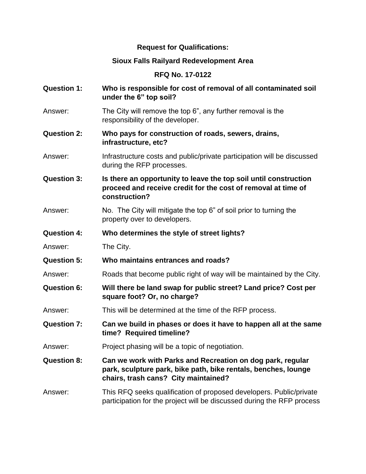## **Request for Qualifications:**

## **Sioux Falls Railyard Redevelopment Area**

## **RFQ No. 17-0122**

- **Question 1: Who is responsible for cost of removal of all contaminated soil under the 6" top soil?**
- Answer: The City will remove the top 6", any further removal is the responsibility of the developer.
- **Question 2: Who pays for construction of roads, sewers, drains, infrastructure, etc?**
- Answer: Infrastructure costs and public/private participation will be discussed during the RFP processes.
- **Question 3: Is there an opportunity to leave the top soil until construction proceed and receive credit for the cost of removal at time of construction?**
- Answer: No. The City will mitigate the top 6" of soil prior to turning the property over to developers.
- **Question 4: Who determines the style of street lights?**
- Answer: The City.
- **Question 5: Who maintains entrances and roads?**
- Answer: Roads that become public right of way will be maintained by the City.
- **Question 6: Will there be land swap for public street? Land price? Cost per square foot? Or, no charge?**
- Answer: This will be determined at the time of the RFP process.
- **Question 7: Can we build in phases or does it have to happen all at the same time? Required timeline?**
- Answer: Project phasing will be a topic of negotiation.
- **Question 8: Can we work with Parks and Recreation on dog park, regular park, sculpture park, bike path, bike rentals, benches, lounge chairs, trash cans? City maintained?**
- Answer: This RFQ seeks qualification of proposed developers. Public/private participation for the project will be discussed during the RFP process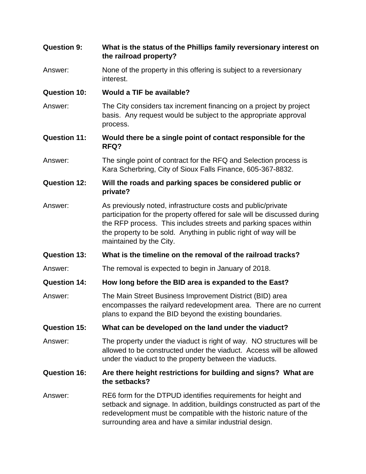| <b>Question 9:</b>  | What is the status of the Phillips family reversionary interest on<br>the railroad property?                                                                                                                                                                                                                |
|---------------------|-------------------------------------------------------------------------------------------------------------------------------------------------------------------------------------------------------------------------------------------------------------------------------------------------------------|
| Answer:             | None of the property in this offering is subject to a reversionary<br>interest.                                                                                                                                                                                                                             |
| <b>Question 10:</b> | Would a TIF be available?                                                                                                                                                                                                                                                                                   |
| Answer:             | The City considers tax increment financing on a project by project<br>basis. Any request would be subject to the appropriate approval<br>process.                                                                                                                                                           |
| <b>Question 11:</b> | Would there be a single point of contact responsible for the<br>RFQ?                                                                                                                                                                                                                                        |
| Answer:             | The single point of contract for the RFQ and Selection process is<br>Kara Scherbring, City of Sioux Falls Finance, 605-367-8832.                                                                                                                                                                            |
| <b>Question 12:</b> | Will the roads and parking spaces be considered public or<br>private?                                                                                                                                                                                                                                       |
| Answer:             | As previously noted, infrastructure costs and public/private<br>participation for the property offered for sale will be discussed during<br>the RFP process. This includes streets and parking spaces within<br>the property to be sold. Anything in public right of way will be<br>maintained by the City. |
| <b>Question 13:</b> | What is the timeline on the removal of the railroad tracks?                                                                                                                                                                                                                                                 |
| Answer:             | The removal is expected to begin in January of 2018.                                                                                                                                                                                                                                                        |
| <b>Question 14:</b> | How long before the BID area is expanded to the East?                                                                                                                                                                                                                                                       |
| Answer:             | The Main Street Business Improvement District (BID) area<br>encompasses the railyard redevelopment area. There are no current<br>plans to expand the BID beyond the existing boundaries.                                                                                                                    |
| <b>Question 15:</b> | What can be developed on the land under the viaduct?                                                                                                                                                                                                                                                        |
| Answer:             | The property under the viaduct is right of way. NO structures will be<br>allowed to be constructed under the viaduct. Access will be allowed<br>under the viaduct to the property between the viaducts.                                                                                                     |
| <b>Question 16:</b> | Are there height restrictions for building and signs? What are<br>the setbacks?                                                                                                                                                                                                                             |
| Answer:             | RE6 form for the DTPUD identifies requirements for height and<br>setback and signage. In addition, buildings constructed as part of the<br>redevelopment must be compatible with the historic nature of the<br>surrounding area and have a similar industrial design.                                       |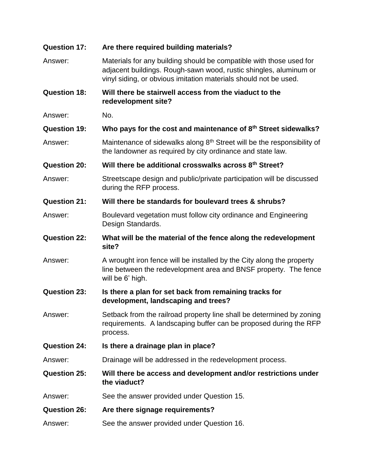| <b>Question 17:</b> | Are there required building materials?                                                                                                                                                                       |
|---------------------|--------------------------------------------------------------------------------------------------------------------------------------------------------------------------------------------------------------|
| Answer:             | Materials for any building should be compatible with those used for<br>adjacent buildings. Rough-sawn wood, rustic shingles, aluminum or<br>vinyl siding, or obvious imitation materials should not be used. |
| <b>Question 18:</b> | Will there be stairwell access from the viaduct to the<br>redevelopment site?                                                                                                                                |
| Answer:             | No.                                                                                                                                                                                                          |
| <b>Question 19:</b> | Who pays for the cost and maintenance of 8 <sup>th</sup> Street sidewalks?                                                                                                                                   |
| Answer:             | Maintenance of sidewalks along 8 <sup>th</sup> Street will be the responsibility of<br>the landowner as required by city ordinance and state law.                                                            |
| <b>Question 20:</b> | Will there be additional crosswalks across 8 <sup>th</sup> Street?                                                                                                                                           |
| Answer:             | Streetscape design and public/private participation will be discussed<br>during the RFP process.                                                                                                             |
| <b>Question 21:</b> | Will there be standards for boulevard trees & shrubs?                                                                                                                                                        |
| Answer:             | Boulevard vegetation must follow city ordinance and Engineering<br>Design Standards.                                                                                                                         |
| <b>Question 22:</b> | What will be the material of the fence along the redevelopment<br>site?                                                                                                                                      |
| Answer:             | A wrought iron fence will be installed by the City along the property<br>line between the redevelopment area and BNSF property. The fence<br>will be 6' high.                                                |
| <b>Question 23:</b> | Is there a plan for set back from remaining tracks for<br>development, landscaping and trees?                                                                                                                |
| Answer:             | Setback from the railroad property line shall be determined by zoning<br>requirements. A landscaping buffer can be proposed during the RFP<br>process.                                                       |
| <b>Question 24:</b> | Is there a drainage plan in place?                                                                                                                                                                           |
| Answer:             | Drainage will be addressed in the redevelopment process.                                                                                                                                                     |
| <b>Question 25:</b> | Will there be access and development and/or restrictions under<br>the viaduct?                                                                                                                               |
| Answer:             | See the answer provided under Question 15.                                                                                                                                                                   |
| <b>Question 26:</b> | Are there signage requirements?                                                                                                                                                                              |
| Answer:             | See the answer provided under Question 16.                                                                                                                                                                   |